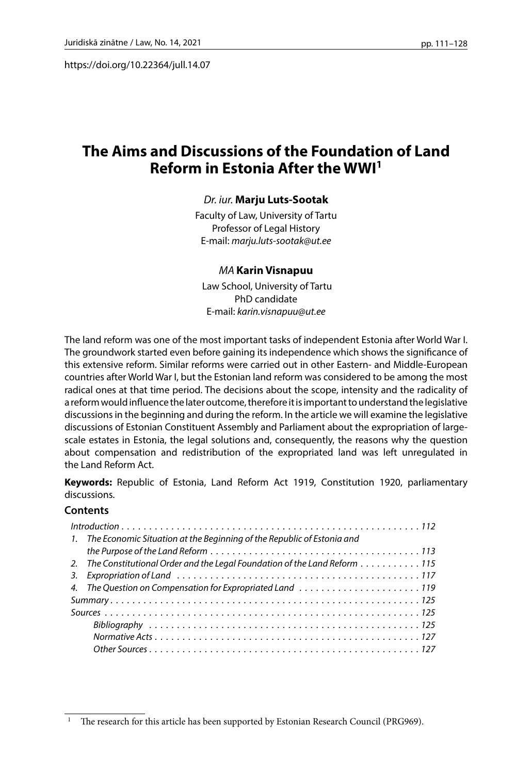https://doi.org/10.22364/jull.14.07

# **The Aims and Discussions of the Foundation of Land Reform in Estonia After the WWI1**

### *Dr. iur.* **Marju Luts-Sootak**

Faculty of Law, University of Tartu Professor of Legal History E-mail: *marju.luts-sootak@ut.ee*

#### *MA* **Karin Visnapuu**

 Law School, University of Tartu PhD candidate E-mail: *karin.visnapuu@ut.ee*

The land reform was one of the most important tasks of independent Estonia after World War I. The groundwork started even before gaining its independence which shows the significance of this extensive reform. Similar reforms were carried out in other Eastern- and Middle-European countries after World War I, but the Estonian land reform was considered to be among the most radical ones at that time period. The decisions about the scope, intensity and the radicality of a reform would influence the later outcome, therefore it is important to understand the legislative discussions in the beginning and during the reform. In the article we will examine the legislative discussions of Estonian Constituent Assembly and Parliament about the expropriation of largescale estates in Estonia, the legal solutions and, consequently, the reasons why the question about compensation and redistribution of the expropriated land was left unregulated in the Land Reform Act.

**Keywords:** Republic of Estonia, Land Reform Act 1919, Constitution 1920, parliamentary discussions.

### **Contents**

| 1. The Economic Situation at the Beginning of the Republic of Estonia and   |
|-----------------------------------------------------------------------------|
|                                                                             |
| 2. The Constitutional Order and the Legal Foundation of the Land Reform 115 |
|                                                                             |
| 4. The Question on Compensation for Expropriated Land 119                   |
|                                                                             |
|                                                                             |
|                                                                             |
|                                                                             |
|                                                                             |

The research for this article has been supported by Estonian Research Council (PRG969).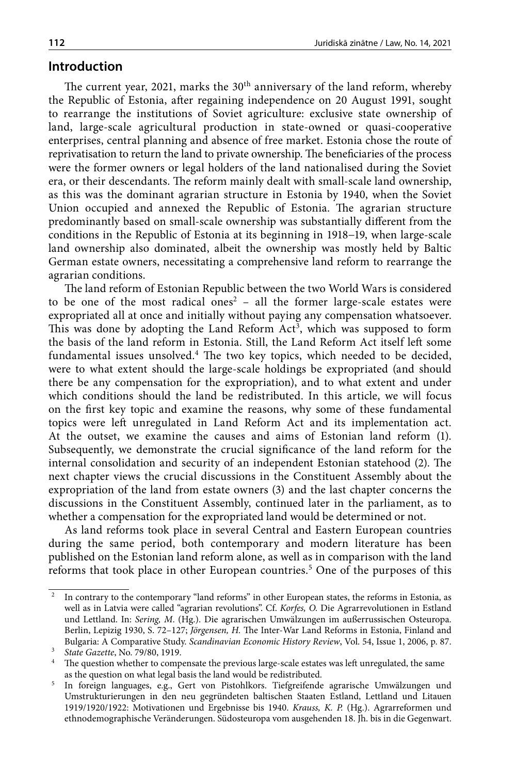### **Introduction**

The current year, 2021, marks the 30<sup>th</sup> anniversary of the land reform, whereby the Republic of Estonia, after regaining independence on 20 August 1991, sought to rearrange the institutions of Soviet agriculture: exclusive state ownership of land, large-scale agricultural production in state-owned or quasi-cooperative enterprises, central planning and absence of free market. Estonia chose the route of reprivatisation to return the land to private ownership. The beneficiaries of the process were the former owners or legal holders of the land nationalised during the Soviet era, or their descendants. The reform mainly dealt with small-scale land ownership, as this was the dominant agrarian structure in Estonia by 1940, when the Soviet Union occupied and annexed the Republic of Estonia. The agrarian structure predominantly based on small-scale ownership was substantially different from the conditions in the Republic of Estonia at its beginning in 1918−19, when large-scale land ownership also dominated, albeit the ownership was mostly held by Baltic German estate owners, necessitating a comprehensive land reform to rearrange the agrarian conditions.

The land reform of Estonian Republic between the two World Wars is considered to be one of the most radical ones<sup>2</sup>  $-$  all the former large-scale estates were expropriated all at once and initially without paying any compensation whatsoever. This was done by adopting the Land Reform Act<sup>3</sup>, which was supposed to form the basis of the land reform in Estonia. Still, the Land Reform Act itself left some fundamental issues unsolved.<sup>4</sup> The two key topics, which needed to be decided, were to what extent should the large-scale holdings be expropriated (and should there be any compensation for the expropriation), and to what extent and under which conditions should the land be redistributed. In this article, we will focus on the first key topic and examine the reasons, why some of these fundamental topics were left unregulated in Land Reform Act and its implementation act. At the outset, we examine the causes and aims of Estonian land reform (1). Subsequently, we demonstrate the crucial significance of the land reform for the internal consolidation and security of an independent Estonian statehood (2). The next chapter views the crucial discussions in the Constituent Assembly about the expropriation of the land from estate owners (3) and the last chapter concerns the discussions in the Constituent Assembly, continued later in the parliament, as to whether a compensation for the expropriated land would be determined or not.

As land reforms took place in several Central and Eastern European countries during the same period, both contemporary and modern literature has been published on the Estonian land reform alone, as well as in comparison with the land reforms that took place in other European countries.<sup>5</sup> One of the purposes of this

<sup>&</sup>lt;sup>2</sup> In contrary to the contemporary "land reforms" in other European states, the reforms in Estonia, as well as in Latvia were called "agrarian revolutions". Cf. *Korfes, O.* Die Agrarrevolutionen in Estland und Lettland. In: *Sering, M*. (Hg.). Die agrarischen Umwälzungen im außerrussischen Osteuropa. Berlin, Lepizig 1930, S. 72–127; *Jörgensen, H.* The Inter-War Land Reforms in Estonia, Finland and Bulgaria: A Comparative Study. *Scandinavian Economic History Review*, Vol. 54, Issue 1, 2006, p. 87.

<sup>3</sup> *State Gazette*, No. 79/80, 1919.

 $^4\;$  The question whether to compensate the previous large-scale estates was left unregulated, the same as the question on what legal basis the land would be redistributed.

<sup>&</sup>lt;sup>5</sup> In foreign languages, e.g., Gert von Pistohlkors. Tiefgreifende agrarische Umwälzungen und Umstrukturierungen in den neu gegründeten baltischen Staaten Estland, Lettland und Litauen 1919/1920/1922: Motivationen und Ergebnisse bis 1940. *Krauss, K. P.* (Hg.). Agrarreformen und ethnodemographische Veränderungen. Südosteuropa vom ausgehenden 18. Jh. bis in die Gegenwart.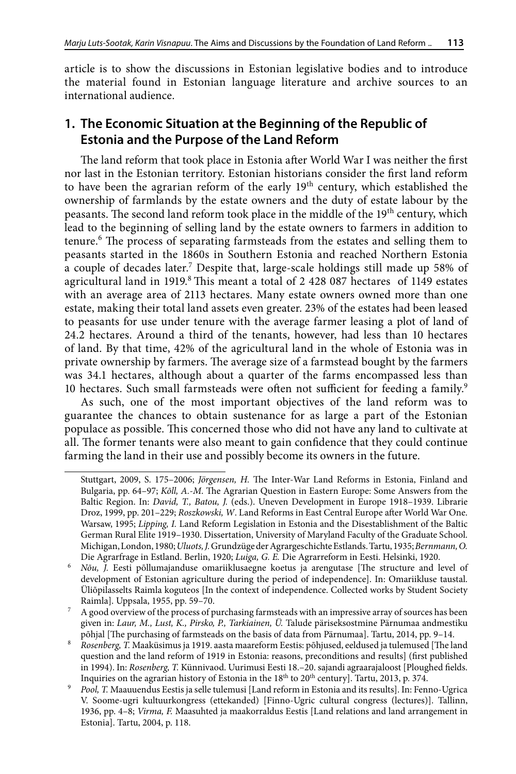article is to show the discussions in Estonian legislative bodies and to introduce the material found in Estonian language literature and archive sources to an international audience.

## **1. The Economic Situation at the Beginning of the Republic of Estonia and the Purpose of the Land Reform**

The land reform that took place in Estonia after World War I was neither the first nor last in the Estonian territory. Estonian historians consider the first land reform to have been the agrarian reform of the early  $19<sup>th</sup>$  century, which established the ownership of farmlands by the estate owners and the duty of estate labour by the peasants. The second land reform took place in the middle of the 19<sup>th</sup> century, which lead to the beginning of selling land by the estate owners to farmers in addition to tenure.6 The process of separating farmsteads from the estates and selling them to peasants started in the 1860s in Southern Estonia and reached Northern Estonia a couple of decades later.7 Despite that, large-scale holdings still made up 58% of agricultural land in  $1919$ .<sup>8</sup> This meant a total of 2 428 087 hectares of 1149 estates with an average area of 2113 hectares. Many estate owners owned more than one estate, making their total land assets even greater. 23% of the estates had been leased to peasants for use under tenure with the average farmer leasing a plot of land of 24.2 hectares. Around a third of the tenants, however, had less than 10 hectares of land. By that time, 42% of the agricultural land in the whole of Estonia was in private ownership by farmers. The average size of a farmstead bought by the farmers was 34.1 hectares, although about a quarter of the farms encompassed less than 10 hectares. Such small farmsteads were often not sufficient for feeding a family.<sup>9</sup>

As such, one of the most important objectives of the land reform was to guarantee the chances to obtain sustenance for as large a part of the Estonian populace as possible. This concerned those who did not have any land to cultivate at all. The former tenants were also meant to gain confidence that they could continue farming the land in their use and possibly become its owners in the future.

Stuttgart, 2009, S. 175–2006; *Jörgensen, H.* The Inter-War Land Reforms in Estonia, Finland and Bulgaria, pp. 64–97; *Kõll, A.-M*. The Agrarian Question in Eastern Europe: Some Answers from the Baltic Region. In: *David, T., Batou, J.* (eds.). Uneven Development in Europe 1918–1939. Librarie Droz, 1999, pp. 201–229; *Roszkowski, W*. Land Reforms in East Central Europe after World War One. Warsaw, 1995; *Lipping, I.* Land Reform Legislation in Estonia and the Disestablishment of the Baltic German Rural Elite 1919–1930. Dissertation, University of Maryland Faculty of the Graduate School. Michigan, London, 1980; *Uluots, J.* Grundzüge der Agrargeschichte Estlands. Tartu, 1935; *Bernmann, O.* Die Agrarfrage in Estland. Berlin, 1920; *Luiga, G. E.* Die Agrarreform in Eesti. Helsinki, 1920.

<sup>6</sup> *Nõu, J.* Eesti põllumajanduse omariiklusaegne koetus ja arengutase [The structure and level of development of Estonian agriculture during the period of independence]. In: Omariikluse taustal. Üliõpilasselts Raimla koguteos [In the context of independence. Collected works by Student Society Raimla]. Uppsala, 1955, pp. 59–70.

<sup>7</sup> A good overview of the process of purchasing farmsteads with an impressive array of sources has been given in: *Laur, M., Lust, K., Pirsko, P., Tarkiainen, Ü.* Talude päriseksostmine Pärnumaa andmestiku põhjal [The purchasing of farmsteads on the basis of data from Pärnumaa]. Tartu, 2014, pp. 9–14.

<sup>8</sup> *Rosenberg, T.* Maaküsimus ja 1919. aasta maareform Eestis: põhjused, eeldused ja tulemused [The land question and the land reform of 1919 in Estonia: reasons, preconditions and results] (first published in 1994). In: *Rosenberg, T.* Künnivaod. Uurimusi Eesti 18.–20. sajandi agraarajaloost [Ploughed fields. Inquiries on the agrarian history of Estonia in the 18<sup>th</sup> to 20<sup>th</sup> century]. Tartu, 2013, p. 374.

<sup>9</sup> *Pool, T.* Maauuendus Eestis ja selle tulemusi [Land reform in Estonia and its results]. In: Fenno-Ugrica V. Soome-ugri kultuurkongress (ettekanded) [Finno-Ugric cultural congress (lectures)]. Tallinn, 1936, pp. 4–8; *Virma, F.* Maasuhted ja maakorraldus Eestis [Land relations and land arrangement in Estonia]. Tartu, 2004, p. 118.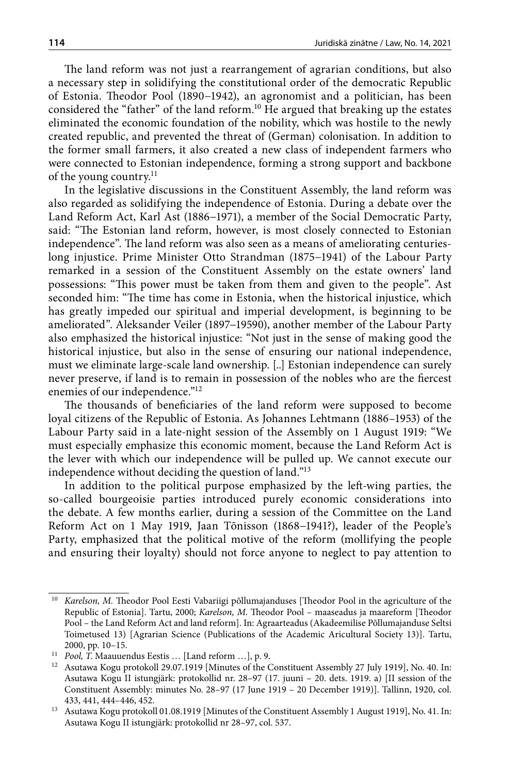The land reform was not just a rearrangement of agrarian conditions, but also a necessary step in solidifying the constitutional order of the democratic Republic of Estonia. Theodor Pool (1890−1942), an agronomist and a politician, has been considered the "father" of the land reform.<sup>10</sup> He argued that breaking up the estates eliminated the economic foundation of the nobility, which was hostile to the newly created republic, and prevented the threat of (German) colonisation. In addition to the former small farmers, it also created a new class of independent farmers who were connected to Estonian independence, forming a strong support and backbone of the young country.<sup>11</sup>

In the legislative discussions in the Constituent Assembly, the land reform was also regarded as solidifying the independence of Estonia. During a debate over the Land Reform Act, Karl Ast (1886−1971), a member of the Social Democratic Party, said: "The Estonian land reform, however, is most closely connected to Estonian independence". The land reform was also seen as a means of ameliorating centurieslong injustice. Prime Minister Otto Strandman (1875−1941) of the Labour Party remarked in a session of the Constituent Assembly on the estate owners' land possessions: "This power must be taken from them and given to the people". Ast seconded him: "The time has come in Estonia, when the historical injustice, which has greatly impeded our spiritual and imperial development, is beginning to be ameliorated". Aleksander Veiler (1897−19590), another member of the Labour Party also emphasized the historical injustice: "Not just in the sense of making good the historical injustice, but also in the sense of ensuring our national independence, must we eliminate large-scale land ownership. [..] Estonian independence can surely never preserve, if land is to remain in possession of the nobles who are the fiercest enemies of our independence."<sup>12</sup>

The thousands of beneficiaries of the land reform were supposed to become loyal citizens of the Republic of Estonia. As Johannes Lehtmann (1886–1953) of the Labour Party said in a late-night session of the Assembly on 1 August 1919: "We must especially emphasize this economic moment, because the Land Reform Act is the lever with which our independence will be pulled up. We cannot execute our independence without deciding the question of land."13

In addition to the political purpose emphasized by the left-wing parties, the so-called bourgeoisie parties introduced purely economic considerations into the debate. A few months earlier, during a session of the Committee on the Land Reform Act on 1 May 1919, Jaan Tõnisson (1868−1941?), leader of the People's Party, emphasized that the political motive of the reform (mollifying the people and ensuring their loyalty) should not force anyone to neglect to pay attention to

Karelson, M. Theodor Pool Eesti Vabariigi põllumajanduses [Theodor Pool in the agriculture of the Republic of Estonia]. Tartu, 2000; *Karelson, M*. Theodor Pool – maaseadus ja maareform [Theodor Pool – the Land Reform Act and land reform]. In: Agraarteadus (Akadeemilise Põllumajanduse Seltsi Toimetused 13) [Agrarian Science (Publications of the Academic Aricultural Society 13)]. Tartu, 2000, pp. 10–15.

<sup>11</sup> *Pool, T.* Maauuendus Eestis … [Land reform …], p. 9.

<sup>12</sup> Asutawa Kogu protokoll 29.07.1919 [Minutes of the Constituent Assembly 27 July 1919], No. 40. In: Asutawa Kogu II istungjärk: protokollid nr. 28–97 (17. juuni – 20. dets. 1919. a) [II session of the Constituent Assembly: minutes No. 28–97 (17 June 1919 – 20 December 1919)]. Tallinn, 1920, col. 433, 441, 444–446, 452.

<sup>13</sup> Asutawa Kogu protokoll 01.08.1919 [Minutes of the Constituent Assembly 1 August 1919], No. 41. In: Asutawa Kogu II istungjärk: protokollid nr 28–97, col. 537.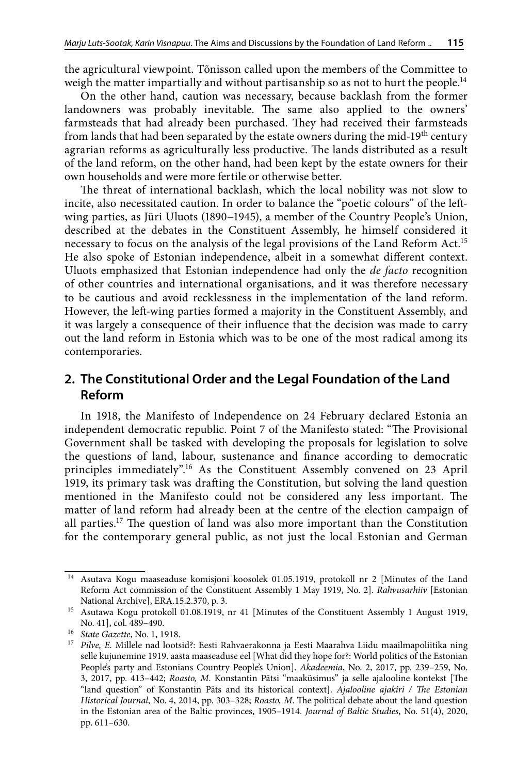the agricultural viewpoint. Tõnisson called upon the members of the Committee to weigh the matter impartially and without partisanship so as not to hurt the people.<sup>14</sup>

On the other hand, caution was necessary, because backlash from the former landowners was probably inevitable. The same also applied to the owners' farmsteads that had already been purchased. They had received their farmsteads from lands that had been separated by the estate owners during the mid-19<sup>th</sup> century agrarian reforms as agriculturally less productive. The lands distributed as a result of the land reform, on the other hand, had been kept by the estate owners for their own households and were more fertile or otherwise better.

The threat of international backlash, which the local nobility was not slow to incite, also necessitated caution. In order to balance the "poetic colours" of the leftwing parties, as Jüri Uluots (1890−1945), a member of the Country People's Union, described at the debates in the Constituent Assembly, he himself considered it necessary to focus on the analysis of the legal provisions of the Land Reform Act.15 He also spoke of Estonian independence, albeit in a somewhat different context. Uluots emphasized that Estonian independence had only the *de facto* recognition of other countries and international organisations, and it was therefore necessary to be cautious and avoid recklessness in the implementation of the land reform. However, the left-wing parties formed a majority in the Constituent Assembly, and it was largely a consequence of their influence that the decision was made to carry out the land reform in Estonia which was to be one of the most radical among its contemporaries.

## **2. The Constitutional Order and the Legal Foundation of the Land Reform**

In 1918, the Manifesto of Independence on 24 February declared Estonia an independent democratic republic. Point 7 of the Manifesto stated: "The Provisional Government shall be tasked with developing the proposals for legislation to solve the questions of land, labour, sustenance and finance according to democratic principles immediately".16 As the Constituent Assembly convened on 23 April 1919, its primary task was drafting the Constitution, but solving the land question mentioned in the Manifesto could not be considered any less important. The matter of land reform had already been at the centre of the election campaign of all parties.17 The question of land was also more important than the Constitution for the contemporary general public, as not just the local Estonian and German

<sup>&</sup>lt;sup>14</sup> Asutava Kogu maaseaduse komisjoni koosolek 01.05.1919, protokoll nr 2 [Minutes of the Land Reform Act commission of the Constituent Assembly 1 May 1919, No. 2]. *Rahvusarhiiv* [Estonian National Archive], ERA.15.2.370, p. 3.

<sup>15</sup> Asutawa Kogu protokoll 01.08.1919, nr 41 [Minutes of the Constituent Assembly 1 August 1919, No. 41], col. 489–490.

<sup>16</sup> *State Gazette*, No. 1, 1918.

<sup>17</sup> *Pilve, E.* Millele nad lootsid?: Eesti Rahvaerakonna ja Eesti Maarahva Liidu maailmapoliitika ning selle kujunemine 1919. aasta maaseaduse eel [What did they hope for?: World politics of the Estonian People's party and Estonians Country People's Union]. *Akadeemia*, No. 2, 2017, pp. 239–259, No. 3, 2017, pp. 413–442; *Roasto, M*. Konstantin Pätsi "maaküsimus" ja selle ajalooline kontekst [The "land question" of Konstantin Päts and its historical context]. *Ajalooline ajakiri / The Estonian Historical Journal*, No. 4, 2014, pp. 303–328; *Roasto, M*. The political debate about the land question in the Estonian area of the Baltic provinces, 1905–1914. *Journal of Baltic Studies*, No. 51(4), 2020, pp. 611–630.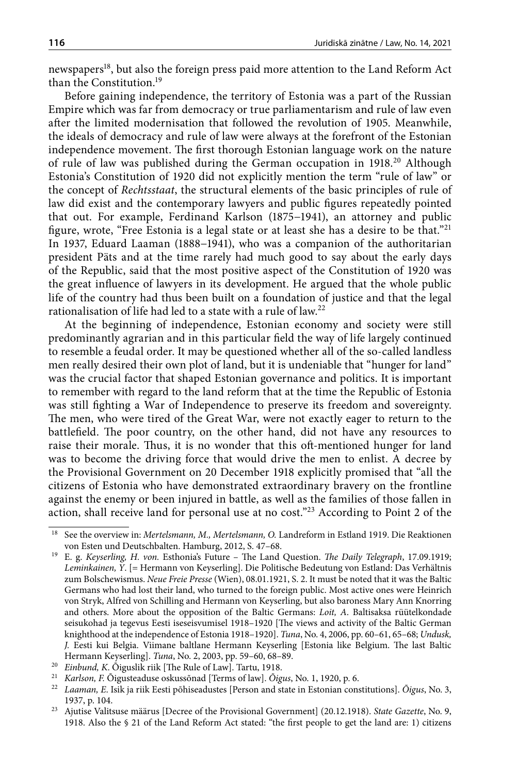newspapers<sup>18</sup>, but also the foreign press paid more attention to the Land Reform Act than the Constitution.19

Before gaining independence, the territory of Estonia was a part of the Russian Empire which was far from democracy or true parliamentarism and rule of law even after the limited modernisation that followed the revolution of 1905. Meanwhile, the ideals of democracy and rule of law were always at the forefront of the Estonian independence movement. The first thorough Estonian language work on the nature of rule of law was published during the German occupation in 1918.<sup>20</sup> Although Estonia's Constitution of 1920 did not explicitly mention the term "rule of law" or the concept of *Rechtsstaat*, the structural elements of the basic principles of rule of law did exist and the contemporary lawyers and public figures repeatedly pointed that out. For example, Ferdinand Karlson (1875−1941), an attorney and public figure, wrote, "Free Estonia is a legal state or at least she has a desire to be that."21 In 1937, Eduard Laaman (1888−1941), who was a companion of the authoritarian president Päts and at the time rarely had much good to say about the early days of the Republic, said that the most positive aspect of the Constitution of 1920 was the great influence of lawyers in its development. He argued that the whole public life of the country had thus been built on a foundation of justice and that the legal rationalisation of life had led to a state with a rule of law.22

At the beginning of independence, Estonian economy and society were still predominantly agrarian and in this particular field the way of life largely continued to resemble a feudal order. It may be questioned whether all of the so-called landless men really desired their own plot of land, but it is undeniable that "hunger for land" was the crucial factor that shaped Estonian governance and politics. It is important to remember with regard to the land reform that at the time the Republic of Estonia was still fighting a War of Independence to preserve its freedom and sovereignty. The men, who were tired of the Great War, were not exactly eager to return to the battlefield. The poor country, on the other hand, did not have any resources to raise their morale. Thus, it is no wonder that this oft-mentioned hunger for land was to become the driving force that would drive the men to enlist. A decree by the Provisional Government on 20 December 1918 explicitly promised that "all the citizens of Estonia who have demonstrated extraordinary bravery on the frontline against the enemy or been injured in battle, as well as the families of those fallen in action, shall receive land for personal use at no cost."23 According to Point 2 of the

<sup>18</sup> See the overview in: *Mertelsmann, M., Mertelsmann, O.* Landreform in Estland 1919. Die Reaktionen von Esten und Deutschbalten. Hamburg, 2012, S. 47–68.

<sup>19</sup> E. g. *Keyserling, H. von.* Esthonia's Future – The Land Question. *The Daily Telegraph*, 17.09.1919; *Leminkainen, Y*. [= Hermann von Keyserling]. Die Politische Bedeutung von Estland: Das Verhältnis zum Bolschewismus. *Neue Freie Presse* (Wien), 08.01.1921, S. 2. It must be noted that it was the Baltic Germans who had lost their land, who turned to the foreign public. Most active ones were Heinrich von Stryk, Alfred von Schilling and Hermann von Keyserling, but also baroness Mary Ann Knorring and others. More about the opposition of the Baltic Germans: *Loit, A*. Baltisaksa rüütelkondade seisukohad ja tegevus Eesti iseseisvumisel 1918–1920 [The views and activity of the Baltic German knighthood at the independence of Estonia 1918–1920]. *Tuna*, No. 4, 2006, pp. 60–61, 65–68; *Undusk, J.* Eesti kui Belgia. Viimane baltlane Hermann Keyserling [Estonia like Belgium. The last Baltic Hermann Keyserling]. *Tuna*, No. 2, 2003, pp. 59–60, 68–89.<br><sup>20</sup> Einbund, K. Õiguslik riik [The Rule of Law]. Tartu, 1918.

<sup>&</sup>lt;sup>21</sup> *Karlson, F.* Õigusteaduse oskussõnad [Terms of law]. Õigus, No. 1, 1920, p. 6.

<sup>22</sup> *Laaman, E*. Isik ja riik Eesti põhiseadustes [Person and state in Estonian constitutions]. *Õigus*, No. 3, 1937, p. 104.

<sup>23</sup> Ajutise Valitsuse määrus [Decree of the Provisional Government] (20.12.1918). *State Gazette*, No. 9, 1918. Also the § 21 of the Land Reform Act stated: "the first people to get the land are: 1) citizens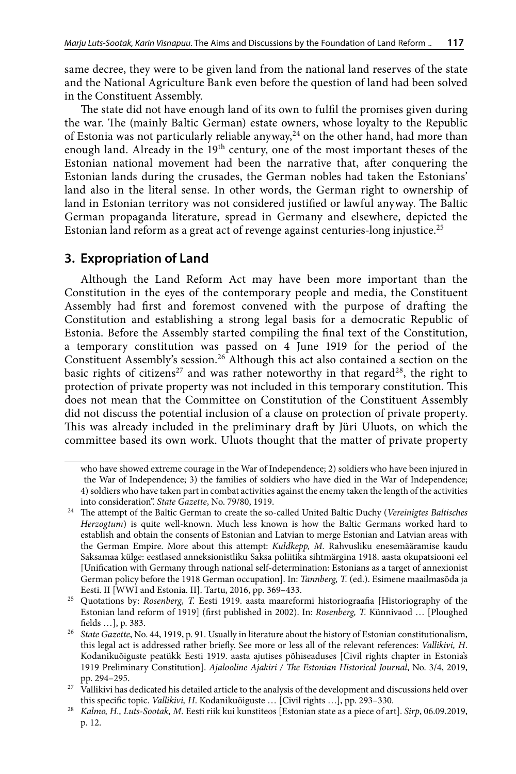same decree, they were to be given land from the national land reserves of the state and the National Agriculture Bank even before the question of land had been solved in the Constituent Assembly.

The state did not have enough land of its own to fulfil the promises given during the war. The (mainly Baltic German) estate owners, whose loyalty to the Republic of Estonia was not particularly reliable anyway,<sup>24</sup> on the other hand, had more than enough land. Already in the 19<sup>th</sup> century, one of the most important theses of the Estonian national movement had been the narrative that, after conquering the Estonian lands during the crusades, the German nobles had taken the Estonians' land also in the literal sense. In other words, the German right to ownership of land in Estonian territory was not considered justified or lawful anyway. The Baltic German propaganda literature, spread in Germany and elsewhere, depicted the Estonian land reform as a great act of revenge against centuries-long injustice.25

## **3. Expropriation of Land**

Although the Land Reform Act may have been more important than the Constitution in the eyes of the contemporary people and media, the Constituent Assembly had first and foremost convened with the purpose of drafting the Constitution and establishing a strong legal basis for a democratic Republic of Estonia. Before the Assembly started compiling the final text of the Constitution, a temporary constitution was passed on 4 June 1919 for the period of the Constituent Assembly's session.26 Although this act also contained a section on the basic rights of citizens<sup>27</sup> and was rather noteworthy in that regard<sup>28</sup>, the right to protection of private property was not included in this temporary constitution. This does not mean that the Committee on Constitution of the Constituent Assembly did not discuss the potential inclusion of a clause on protection of private property. This was already included in the preliminary draft by Jüri Uluots, on which the committee based its own work. Uluots thought that the matter of private property

who have showed extreme courage in the War of Independence; 2) soldiers who have been injured in the War of Independence; 3) the families of soldiers who have died in the War of Independence; 4) soldiers who have taken part in combat activities against the enemy taken the length of the activities into consideration". *State Gazette*, No. 79/80, 1919.

<sup>24</sup> The attempt of the Baltic German to create the so-called United Baltic Duchy (*Vereinigtes Baltisches Herzogtum*) is quite well-known. Much less known is how the Baltic Germans worked hard to establish and obtain the consents of Estonian and Latvian to merge Estonian and Latvian areas with the German Empire. More about this attempt: *Kuldkepp, M.* Rahvusliku enesemääramise kaudu Saksamaa külge: eestlased anneksionistliku Saksa poliitika sihtmärgina 1918. aasta okupatsiooni eel [Unification with Germany through national self-determination: Estonians as a target of annexionist German policy before the 1918 German occupation]. In: *Tannberg, T.* (ed.). Esimene maailmasõda ja Eesti. II [WWI and Estonia. II]. Tartu, 2016, pp. 369–433.

<sup>25</sup> Quotations by: *Rosenberg, T.* Eesti 1919. aasta maareformi historiograafia [Historiography of the Estonian land reform of 1919] (first published in 2002). In: *Rosenberg, T.* Künnivaod … [Ploughed fields …], p. 383.

<sup>26</sup> *State Gazette*, No. 44, 1919, p. 91. Usually in literature about the history of Estonian constitutionalism, this legal act is addressed rather briefly. See more or less all of the relevant references: *Vallikivi, H*. Kodanikuõiguste peatükk Eesti 1919. aasta ajutises põhiseaduses [Civil rights chapter in Estonia's 1919 Preliminary Constitution]. *Ajalooline Ajakiri / The Estonian Historical Journal*, No. 3/4, 2019, pp. 294–295.

<sup>&</sup>lt;sup>27</sup> Vallikivi has dedicated his detailed article to the analysis of the development and discussions held over this specific topic. *Vallikivi, H*. Kodanikuõiguste … [Civil rights …], pp. 293–330.

<sup>28</sup> *Kalmo, H., Luts-Sootak, M.* Eesti riik kui kunstiteos [Estonian state as a piece of art]. *Sirp*, 06.09.2019, p. 12.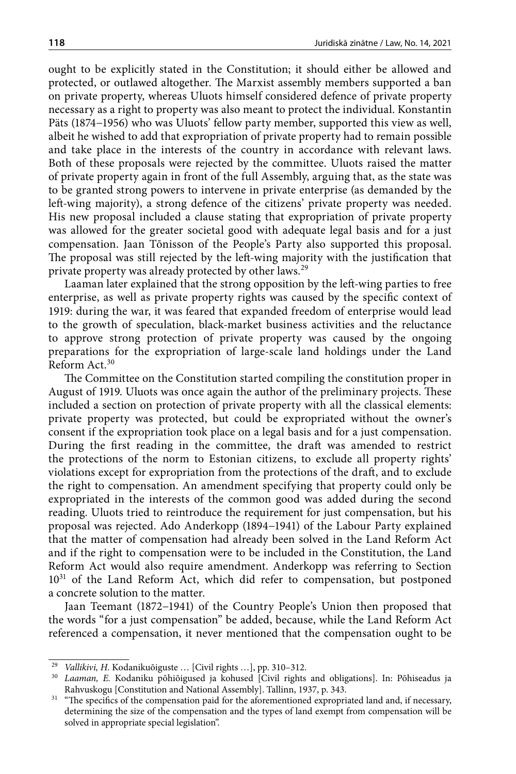ought to be explicitly stated in the Constitution; it should either be allowed and protected, or outlawed altogether. The Marxist assembly members supported a ban on private property, whereas Uluots himself considered defence of private property necessary as a right to property was also meant to protect the individual. Konstantin Päts (1874−1956) who was Uluots' fellow party member, supported this view as well, albeit he wished to add that expropriation of private property had to remain possible and take place in the interests of the country in accordance with relevant laws. Both of these proposals were rejected by the committee. Uluots raised the matter of private property again in front of the full Assembly, arguing that, as the state was to be granted strong powers to intervene in private enterprise (as demanded by the left-wing majority), a strong defence of the citizens' private property was needed. His new proposal included a clause stating that expropriation of private property was allowed for the greater societal good with adequate legal basis and for a just compensation. Jaan Tõnisson of the People's Party also supported this proposal. The proposal was still rejected by the left-wing majority with the justification that private property was already protected by other laws.29

Laaman later explained that the strong opposition by the left-wing parties to free enterprise, as well as private property rights was caused by the specific context of 1919: during the war, it was feared that expanded freedom of enterprise would lead to the growth of speculation, black-market business activities and the reluctance to approve strong protection of private property was caused by the ongoing preparations for the expropriation of large-scale land holdings under the Land Reform Act.30

The Committee on the Constitution started compiling the constitution proper in August of 1919. Uluots was once again the author of the preliminary projects. These included a section on protection of private property with all the classical elements: private property was protected, but could be expropriated without the owner's consent if the expropriation took place on a legal basis and for a just compensation. During the first reading in the committee, the draft was amended to restrict the protections of the norm to Estonian citizens, to exclude all property rights' violations except for expropriation from the protections of the draft, and to exclude the right to compensation. An amendment specifying that property could only be expropriated in the interests of the common good was added during the second reading. Uluots tried to reintroduce the requirement for just compensation, but his proposal was rejected. Ado Anderkopp (1894−1941) of the Labour Party explained that the matter of compensation had already been solved in the Land Reform Act and if the right to compensation were to be included in the Constitution, the Land Reform Act would also require amendment. Anderkopp was referring to Section 10<sup>31</sup> of the Land Reform Act, which did refer to compensation, but postponed a concrete solution to the matter.

Jaan Teemant (1872−1941) of the Country People's Union then proposed that the words "for a just compensation" be added, because, while the Land Reform Act referenced a compensation, it never mentioned that the compensation ought to be

<sup>29</sup> *Vallikivi, H.* Kodanikuõiguste … [Civil rights …], pp. 310–312.

<sup>30</sup> *Laaman, E.* Kodaniku põhiõigused ja kohused [Civil rights and obligations]. In: Põhiseadus ja Rahvuskogu [Constitution and National Assembly]. Tallinn, 1937, p. 343.

<sup>&</sup>lt;sup>31</sup> "The specifics of the compensation paid for the aforementioned expropriated land and, if necessary, determining the size of the compensation and the types of land exempt from compensation will be solved in appropriate special legislation".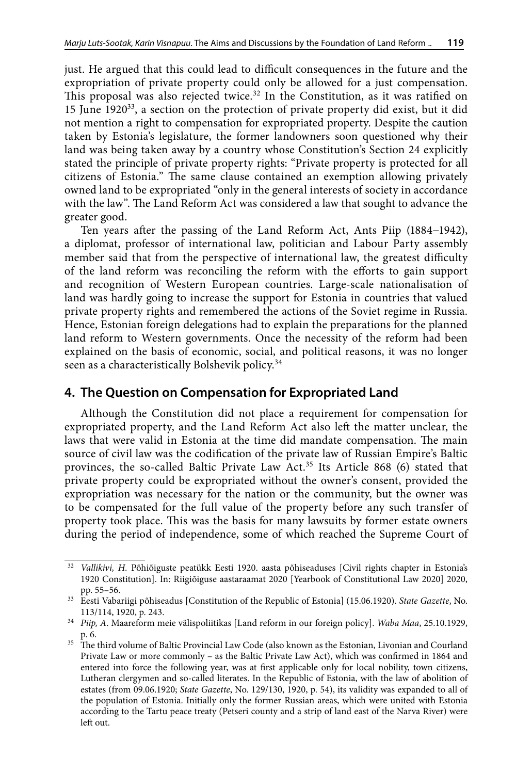just. He argued that this could lead to difficult consequences in the future and the expropriation of private property could only be allowed for a just compensation. This proposal was also rejected twice.<sup>32</sup> In the Constitution, as it was ratified on 15 June  $1920^{33}$ , a section on the protection of private property did exist, but it did not mention a right to compensation for expropriated property. Despite the caution taken by Estonia's legislature, the former landowners soon questioned why their land was being taken away by a country whose Constitution's Section 24 explicitly stated the principle of private property rights: "Private property is protected for all citizens of Estonia." The same clause contained an exemption allowing privately owned land to be expropriated "only in the general interests of society in accordance with the law". The Land Reform Act was considered a law that sought to advance the greater good.

Ten years after the passing of the Land Reform Act, Ants Piip (1884−1942), a diplomat, professor of international law, politician and Labour Party assembly member said that from the perspective of international law, the greatest difficulty of the land reform was reconciling the reform with the efforts to gain support and recognition of Western European countries. Large-scale nationalisation of land was hardly going to increase the support for Estonia in countries that valued private property rights and remembered the actions of the Soviet regime in Russia. Hence, Estonian foreign delegations had to explain the preparations for the planned land reform to Western governments. Once the necessity of the reform had been explained on the basis of economic, social, and political reasons, it was no longer seen as a characteristically Bolshevik policy.<sup>34</sup>

### **4. The Question on Compensation for Expropriated Land**

Although the Constitution did not place a requirement for compensation for expropriated property, and the Land Reform Act also left the matter unclear, the laws that were valid in Estonia at the time did mandate compensation. The main source of civil law was the codification of the private law of Russian Empire's Baltic provinces, the so-called Baltic Private Law Act.<sup>35</sup> Its Article 868 (6) stated that private property could be expropriated without the owner's consent, provided the expropriation was necessary for the nation or the community, but the owner was to be compensated for the full value of the property before any such transfer of property took place. This was the basis for many lawsuits by former estate owners during the period of independence, some of which reached the Supreme Court of

<sup>&</sup>lt;sup>32</sup> *Vallikivi, H. Põhiõiguste peatükk Eesti 1920. aasta põhiseaduses [Civil rights chapter in Estonia's* 1920 Constitution]. In: Riigiõiguse aastaraamat 2020 [Yearbook of Constitutional Law 2020] 2020, pp. 55–56.

<sup>33</sup> Eesti Vabariigi põhiseadus [Constitution of the Republic of Estonia] (15.06.1920). *State Gazette*, No. 113/114, 1920, p. 243.

<sup>34</sup> *Piip, A*. Maareform meie välispoliitikas [Land reform in our foreign policy]. *Waba Maa*, 25.10.1929, p. 6.

<sup>&</sup>lt;sup>35</sup> The third volume of Baltic Provincial Law Code (also known as the Estonian, Livonian and Courland Private Law or more commonly – as the Baltic Private Law Act), which was confirmed in 1864 and entered into force the following year, was at first applicable only for local nobility, town citizens, Lutheran clergymen and so-called literates. In the Republic of Estonia, with the law of abolition of estates (from 09.06.1920; *State Gazette*, No. 129/130, 1920, p. 54), its validity was expanded to all of the population of Estonia. Initially only the former Russian areas, which were united with Estonia according to the Tartu peace treaty (Petseri county and a strip of land east of the Narva River) were left out.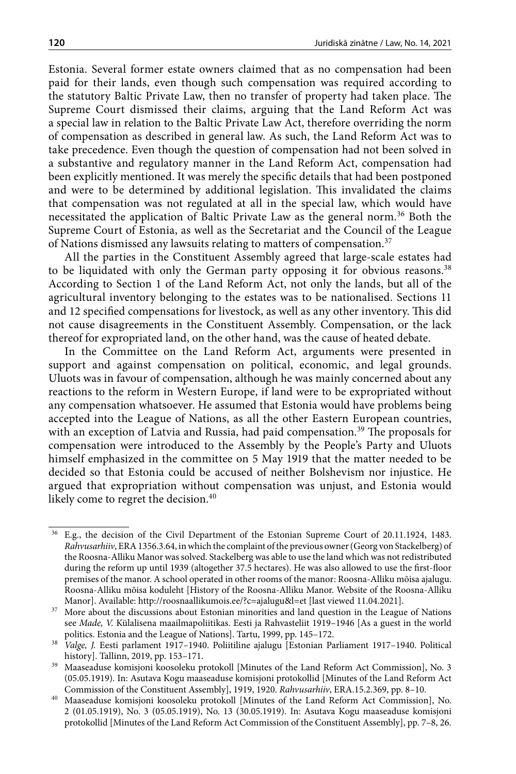Estonia. Several former estate owners claimed that as no compensation had been paid for their lands, even though such compensation was required according to the statutory Baltic Private Law, then no transfer of property had taken place. The Supreme Court dismissed their claims, arguing that the Land Reform Act was a special law in relation to the Baltic Private Law Act, therefore overriding the norm of compensation as described in general law. As such, the Land Reform Act was to take precedence. Even though the question of compensation had not been solved in a substantive and regulatory manner in the Land Reform Act, compensation had been explicitly mentioned. It was merely the specific details that had been postponed and were to be determined by additional legislation. This invalidated the claims that compensation was not regulated at all in the special law, which would have necessitated the application of Baltic Private Law as the general norm.<sup>36</sup> Both the Supreme Court of Estonia, as well as the Secretariat and the Council of the League of Nations dismissed any lawsuits relating to matters of compensation.<sup>37</sup>

All the parties in the Constituent Assembly agreed that large-scale estates had to be liquidated with only the German party opposing it for obvious reasons.<sup>38</sup> According to Section 1 of the Land Reform Act, not only the lands, but all of the agricultural inventory belonging to the estates was to be nationalised. Sections 11 and 12 specified compensations for livestock, as well as any other inventory. This did not cause disagreements in the Constituent Assembly. Compensation, or the lack thereof for expropriated land, on the other hand, was the cause of heated debate.

In the Committee on the Land Reform Act, arguments were presented in support and against compensation on political, economic, and legal grounds. Uluots was in favour of compensation, although he was mainly concerned about any reactions to the reform in Western Europe, if land were to be expropriated without any compensation whatsoever. He assumed that Estonia would have problems being accepted into the League of Nations, as all the other Eastern European countries, with an exception of Latvia and Russia, had paid compensation.<sup>39</sup> The proposals for compensation were introduced to the Assembly by the People's Party and Uluots himself emphasized in the committee on 5 May 1919 that the matter needed to be decided so that Estonia could be accused of neither Bolshevism nor injustice. He argued that expropriation without compensation was unjust, and Estonia would likely come to regret the decision.<sup>40</sup>

<sup>36</sup> E.g., the decision of the Civil Department of the Estonian Supreme Court of 20.11.1924, 1483. *Rahvusarhiiv*, ERA 1356.3.64, in which the complaint of the previous owner (Georg von Stackelberg) of the Roosna-Alliku Manor was solved. Stackelberg was able to use the land which was not redistributed during the reform up until 1939 (altogether 37.5 hectares). He was also allowed to use the first-floor premises of the manor. A school operated in other rooms of the manor: Roosna-Alliku mõisa ajalugu. Roosna-Alliku mõisa koduleht [History of the Roosna-Alliku Manor. Website of the Roosna-Alliku Manor]. Available: <http://roosnaallikumois.ee/?c=ajalugu&l=et> [last viewed 11.04.2021].

<sup>&</sup>lt;sup>37</sup> More about the discussions about Estonian minorities and land question in the League of Nations see *Made, V.* Külalisena maailmapoliitikas. Eesti ja Rahvasteliit 1919–1946 [As a guest in the world politics. Estonia and the League of Nations]. Tartu, 1999, pp. 145–172.

<sup>38</sup> *Valge, J.* Eesti parlament 1917–1940. Poliitiline ajalugu [Estonian Parliament 1917–1940. Political history]. Tallinn, 2019, pp. 153–171.

<sup>&</sup>lt;sup>39</sup> Maaseaduse komisjoni koosoleku protokoll [Minutes of the Land Reform Act Commission], No. 3 (05.05.1919). In: Asutava Kogu maaseaduse komisjoni protokollid [Minutes of the Land Reform Act Commission of the Constituent Assembly], 1919, 1920. *Rahvusarhiiv*, ERA.15.2.369, pp. 8–10.

<sup>40</sup> Maaseaduse komisjoni koosoleku protokoll [Minutes of the Land Reform Act Commission], No. 2 (01.05.1919), No. 3 (05.05.1919), No. 13 (30.05.1919). In: Asutava Kogu maaseaduse komisjoni protokollid [Minutes of the Land Reform Act Commission of the Constituent Assembly], pp. 7–8, 26.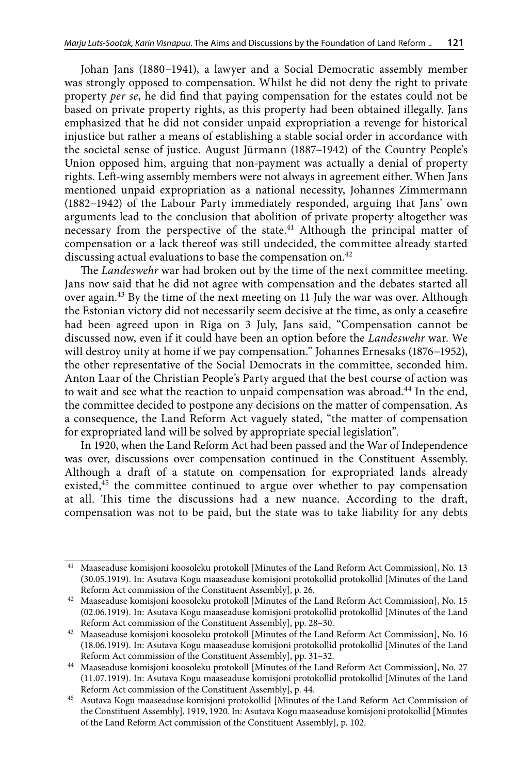Johan Jans (1880−1941), a lawyer and a Social Democratic assembly member was strongly opposed to compensation. Whilst he did not deny the right to private property *per se*, he did find that paying compensation for the estates could not be based on private property rights, as this property had been obtained illegally. Jans emphasized that he did not consider unpaid expropriation a revenge for historical injustice but rather a means of establishing a stable social order in accordance with the societal sense of justice. August Jürmann (1887−1942) of the Country People's Union opposed him, arguing that non-payment was actually a denial of property rights. Left-wing assembly members were not always in agreement either. When Jans mentioned unpaid expropriation as a national necessity, Johannes Zimmermann (1882−1942) of the Labour Party immediately responded, arguing that Jans' own arguments lead to the conclusion that abolition of private property altogether was necessary from the perspective of the state.41 Although the principal matter of compensation or a lack thereof was still undecided, the committee already started discussing actual evaluations to base the compensation on.<sup>42</sup>

The *Landeswehr* war had broken out by the time of the next committee meeting. Jans now said that he did not agree with compensation and the debates started all over again.43 By the time of the next meeting on 11 July the war was over. Although the Estonian victory did not necessarily seem decisive at the time, as only a ceasefire had been agreed upon in Riga on 3 July, Jans said, "Compensation cannot be discussed now, even if it could have been an option before the *Landeswehr* war. We will destroy unity at home if we pay compensation." Johannes Ernesaks (1876−1952), the other representative of the Social Democrats in the committee, seconded him. Anton Laar of the Christian People's Party argued that the best course of action was to wait and see what the reaction to unpaid compensation was abroad.<sup>44</sup> In the end, the committee decided to postpone any decisions on the matter of compensation. As a consequence, the Land Reform Act vaguely stated, "the matter of compensation for expropriated land will be solved by appropriate special legislation".

In 1920, when the Land Reform Act had been passed and the War of Independence was over, discussions over compensation continued in the Constituent Assembly. Although a draft of a statute on compensation for expropriated lands already existed,<sup>45</sup> the committee continued to argue over whether to pay compensation at all. This time the discussions had a new nuance. According to the draft, compensation was not to be paid, but the state was to take liability for any debts

<sup>41</sup> Maaseaduse komisjoni koosoleku protokoll [Minutes of the Land Reform Act Commission], No. 13 (30.05.1919). In: Asutava Kogu maaseaduse komisjoni protokollid protokollid [Minutes of the Land Reform Act commission of the Constituent Assembly], p. 26.

<sup>42</sup> Maaseaduse komisjoni koosoleku protokoll [Minutes of the Land Reform Act Commission], No. 15 (02.06.1919). In: Asutava Kogu maaseaduse komisjoni protokollid protokollid [Minutes of the Land Reform Act commission of the Constituent Assembly], pp. 28–30.

<sup>43</sup> Maaseaduse komisjoni koosoleku protokoll [Minutes of the Land Reform Act Commission], No. 16 (18.06.1919). In: Asutava Kogu maaseaduse komisjoni protokollid protokollid [Minutes of the Land Reform Act commission of the Constituent Assembly], pp. 31–32.

<sup>44</sup> Maaseaduse komisjoni koosoleku protokoll [Minutes of the Land Reform Act Commission], No. 27 (11.07.1919). In: Asutava Kogu maaseaduse komisjoni protokollid protokollid [Minutes of the Land Reform Act commission of the Constituent Assembly], p. 44.

<sup>45</sup> Asutava Kogu maaseaduse komisjoni protokollid [Minutes of the Land Reform Act Commission of the Constituent Assembly], 1919, 1920. In: Asutava Kogu maaseaduse komisjoni protokollid [Minutes of the Land Reform Act commission of the Constituent Assembly], p. 102.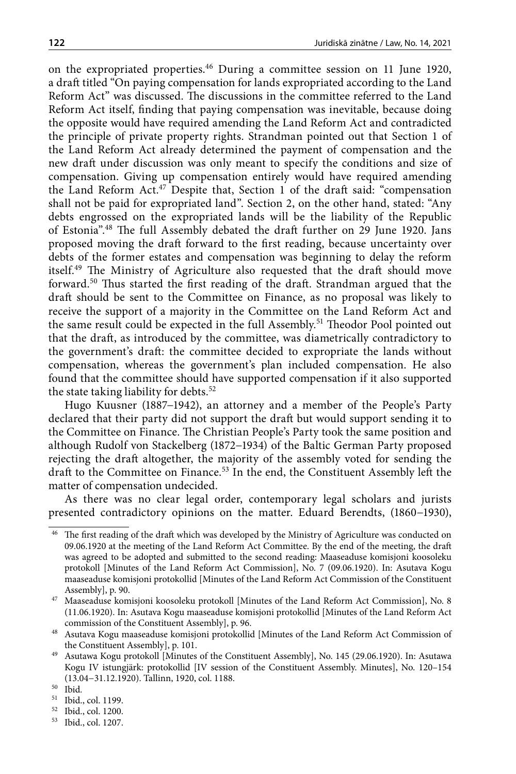on the expropriated properties.46 During a committee session on 11 June 1920, a draft titled "On paying compensation for lands expropriated according to the Land Reform Act" was discussed. The discussions in the committee referred to the Land Reform Act itself, finding that paying compensation was inevitable, because doing the opposite would have required amending the Land Reform Act and contradicted the principle of private property rights. Strandman pointed out that Section 1 of the Land Reform Act already determined the payment of compensation and the new draft under discussion was only meant to specify the conditions and size of compensation. Giving up compensation entirely would have required amending the Land Reform Act.47 Despite that, Section 1 of the draft said: "compensation shall not be paid for expropriated land". Section 2, on the other hand, stated: "Any debts engrossed on the expropriated lands will be the liability of the Republic of Estonia".48 The full Assembly debated the draft further on 29 June 1920. Jans proposed moving the draft forward to the first reading, because uncertainty over debts of the former estates and compensation was beginning to delay the reform itself.49 The Ministry of Agriculture also requested that the draft should move forward.50 Thus started the first reading of the draft. Strandman argued that the draft should be sent to the Committee on Finance, as no proposal was likely to receive the support of a majority in the Committee on the Land Reform Act and the same result could be expected in the full Assembly.<sup>51</sup> Theodor Pool pointed out that the draft, as introduced by the committee, was diametrically contradictory to the government's draft: the committee decided to expropriate the lands without compensation, whereas the government's plan included compensation. He also found that the committee should have supported compensation if it also supported the state taking liability for debts.<sup>52</sup>

Hugo Kuusner (1887−1942), an attorney and a member of the People's Party declared that their party did not support the draft but would support sending it to the Committee on Finance. The Christian People's Party took the same position and although Rudolf von Stackelberg (1872−1934) of the Baltic German Party proposed rejecting the draft altogether, the majority of the assembly voted for sending the draft to the Committee on Finance.<sup>53</sup> In the end, the Constituent Assembly left the matter of compensation undecided.

As there was no clear legal order, contemporary legal scholars and jurists presented contradictory opinions on the matter. Eduard Berendts, (1860−1930),

 $^{46}\,$  The first reading of the draft which was developed by the Ministry of Agriculture was conducted on 09.06.1920 at the meeting of the Land Reform Act Committee. By the end of the meeting, the draft was agreed to be adopted and submitted to the second reading: Maaseaduse komisjoni koosoleku protokoll [Minutes of the Land Reform Act Commission], No. 7 (09.06.1920). In: Asutava Kogu maaseaduse komisjoni protokollid [Minutes of the Land Reform Act Commission of the Constituent Assembly], p. 90.

<sup>47</sup> Maaseaduse komisjoni koosoleku protokoll [Minutes of the Land Reform Act Commission], No. 8 (11.06.1920). In: Asutava Kogu maaseaduse komisjoni protokollid [Minutes of the Land Reform Act commission of the Constituent Assembly], p. 96.

<sup>48</sup> Asutava Kogu maaseaduse komisjoni protokollid [Minutes of the Land Reform Act Commission of the Constituent Assembly], p. 101.

<sup>49</sup> Asutawa Kogu protokoll [Minutes of the Constituent Assembly], No. 145 (29.06.1920). In: Asutawa Kogu IV istungjärk: protokollid [IV session of the Constituent Assembly. Minutes], No. 120–154 (13.04−31.12.1920). Tallinn, 1920, col. 1188.

<sup>50</sup> Ibid*.*

Ibid., col. 1199.

<sup>52</sup> Ibid., col. 1200.

<sup>53</sup> Ibid., col. 1207.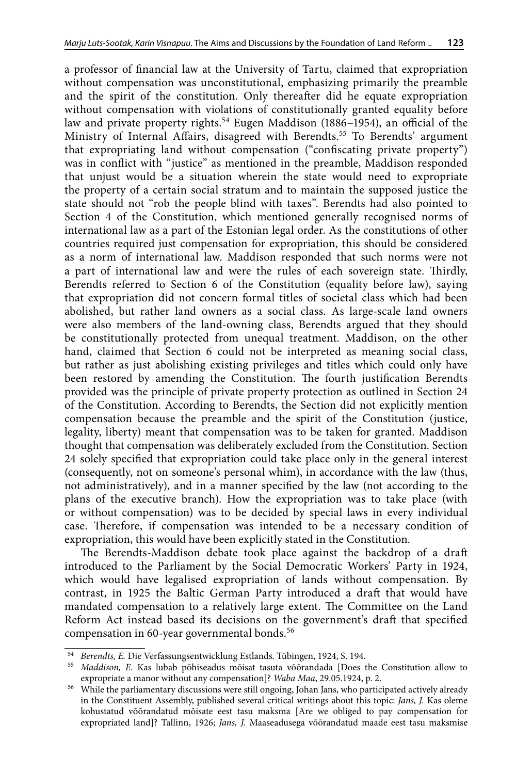a professor of financial law at the University of Tartu, claimed that expropriation without compensation was unconstitutional, emphasizing primarily the preamble and the spirit of the constitution. Only thereafter did he equate expropriation without compensation with violations of constitutionally granted equality before law and private property rights.54 Eugen Maddison (1886−1954), an official of the Ministry of Internal Affairs, disagreed with Berendts.<sup>55</sup> To Berendts' argument that expropriating land without compensation ("confiscating private property") was in conflict with "justice" as mentioned in the preamble, Maddison responded that unjust would be a situation wherein the state would need to expropriate the property of a certain social stratum and to maintain the supposed justice the state should not "rob the people blind with taxes". Berendts had also pointed to Section 4 of the Constitution, which mentioned generally recognised norms of international law as a part of the Estonian legal order. As the constitutions of other countries required just compensation for expropriation, this should be considered as a norm of international law. Maddison responded that such norms were not a part of international law and were the rules of each sovereign state. Thirdly, Berendts referred to Section 6 of the Constitution (equality before law), saying that expropriation did not concern formal titles of societal class which had been abolished, but rather land owners as a social class. As large-scale land owners were also members of the land-owning class, Berendts argued that they should be constitutionally protected from unequal treatment. Maddison, on the other hand, claimed that Section 6 could not be interpreted as meaning social class, but rather as just abolishing existing privileges and titles which could only have been restored by amending the Constitution. The fourth justification Berendts provided was the principle of private property protection as outlined in Section 24 of the Constitution. According to Berendts, the Section did not explicitly mention compensation because the preamble and the spirit of the Constitution (justice, legality, liberty) meant that compensation was to be taken for granted. Maddison thought that compensation was deliberately excluded from the Constitution. Section 24 solely specified that expropriation could take place only in the general interest (consequently, not on someone's personal whim), in accordance with the law (thus, not administratively), and in a manner specified by the law (not according to the plans of the executive branch). How the expropriation was to take place (with or without compensation) was to be decided by special laws in every individual case. Therefore, if compensation was intended to be a necessary condition of expropriation, this would have been explicitly stated in the Constitution.

The Berendts-Maddison debate took place against the backdrop of a draft introduced to the Parliament by the Social Democratic Workers' Party in 1924, which would have legalised expropriation of lands without compensation. By contrast, in 1925 the Baltic German Party introduced a draft that would have mandated compensation to a relatively large extent. The Committee on the Land Reform Act instead based its decisions on the government's draft that specified compensation in 60-year governmental bonds.<sup>56</sup>

<sup>54</sup> *Berendts, E.* Die Verfassungsentwicklung Estlands. Tübingen, 1924, S. 194.

<sup>55</sup> *Maddison, E.* Kas lubab põhiseadus mõisat tasuta võõrandada [Does the Constitution allow to expropriate a manor without any compensation]? *Waba Maa*, 29.05.1924, p. 2.

<sup>&</sup>lt;sup>56</sup> While the parliamentary discussions were still ongoing, Johan Jans, who participated actively already in the Constituent Assembly, published several critical writings about this topic: *Jans, J.* Kas oleme kohustatud võõrandatud mõisate eest tasu maksma [Are we obliged to pay compensation for expropriated land]? Tallinn, 1926; *Jans, J.* Maaseadusega võõrandatud maade eest tasu maksmise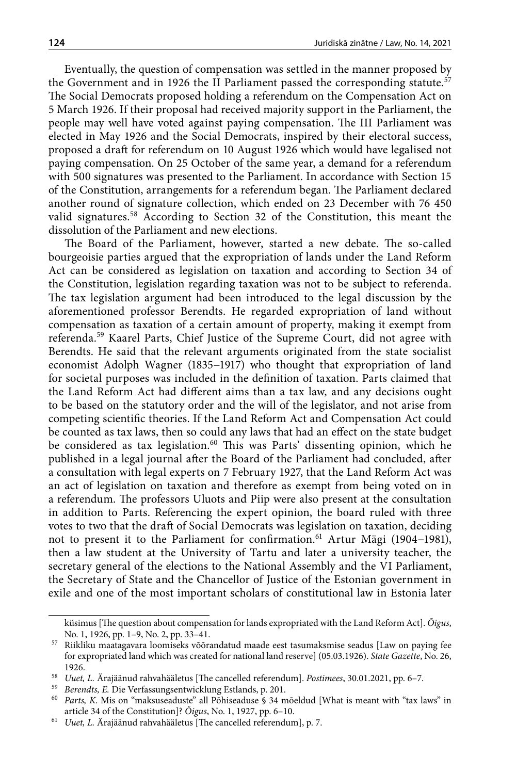Eventually, the question of compensation was settled in the manner proposed by the Government and in 1926 the II Parliament passed the corresponding statute.<sup>57</sup> The Social Democrats proposed holding a referendum on the Compensation Act on 5 March 1926. If their proposal had received majority support in the Parliament, the people may well have voted against paying compensation. The III Parliament was elected in May 1926 and the Social Democrats, inspired by their electoral success, proposed a draft for referendum on 10 August 1926 which would have legalised not paying compensation. On 25 October of the same year, a demand for a referendum with 500 signatures was presented to the Parliament. In accordance with Section 15 of the Constitution, arrangements for a referendum began. The Parliament declared another round of signature collection, which ended on 23 December with 76 450 valid signatures.<sup>58</sup> According to Section 32 of the Constitution, this meant the dissolution of the Parliament and new elections.

The Board of the Parliament, however, started a new debate. The so-called bourgeoisie parties argued that the expropriation of lands under the Land Reform Act can be considered as legislation on taxation and according to Section 34 of the Constitution, legislation regarding taxation was not to be subject to referenda. The tax legislation argument had been introduced to the legal discussion by the aforementioned professor Berendts. He regarded expropriation of land without compensation as taxation of a certain amount of property, making it exempt from referenda.59 Kaarel Parts, Chief Justice of the Supreme Court, did not agree with Berendts. He said that the relevant arguments originated from the state socialist economist Adolph Wagner (1835−1917) who thought that expropriation of land for societal purposes was included in the definition of taxation. Parts claimed that the Land Reform Act had different aims than a tax law, and any decisions ought to be based on the statutory order and the will of the legislator, and not arise from competing scientific theories. If the Land Reform Act and Compensation Act could be counted as tax laws, then so could any laws that had an effect on the state budget be considered as tax legislation.<sup>60</sup> This was Parts' dissenting opinion, which he published in a legal journal after the Board of the Parliament had concluded, after a consultation with legal experts on 7 February 1927, that the Land Reform Act was an act of legislation on taxation and therefore as exempt from being voted on in a referendum. The professors Uluots and Piip were also present at the consultation in addition to Parts. Referencing the expert opinion, the board ruled with three votes to two that the draft of Social Democrats was legislation on taxation, deciding not to present it to the Parliament for confirmation.<sup>61</sup> Artur Mägi (1904–1981), then a law student at the University of Tartu and later a university teacher, the secretary general of the elections to the National Assembly and the VI Parliament, the Secretary of State and the Chancellor of Justice of the Estonian government in exile and one of the most important scholars of constitutional law in Estonia later

küsimus [The question about compensation for lands expropriated with the Land Reform Act]. *Õigus*, No. 1, 1926, pp. 1–9, No. 2, pp. 33–41.

<sup>57</sup> Riikliku maatagavara loomiseks võõrandatud maade eest tasumaksmise seadus [Law on paying fee for expropriated land which was created for national land reserve] (05.03.1926). *State Gazette*, No. 26, 1926.

<sup>58</sup> *Uuet, L.* Ärajäänud rahvahääletus [The cancelled referendum]. *Postimees*, 30.01.2021, pp. 6–7.

<sup>59</sup> *Berendts, E.* Die Verfassungsentwicklung Estlands, p. 201.

<sup>60</sup> *Parts, K.* Mis on "maksuseaduste" all Põhiseaduse § 34 mõeldud [What is meant with "tax laws" in article 34 of the Constitution]? *Õigus*, No. 1, 1927, pp. 6–10.

<sup>61</sup> *Uuet, L.* Ärajäänud rahvahääletus [The cancelled referendum], p. 7.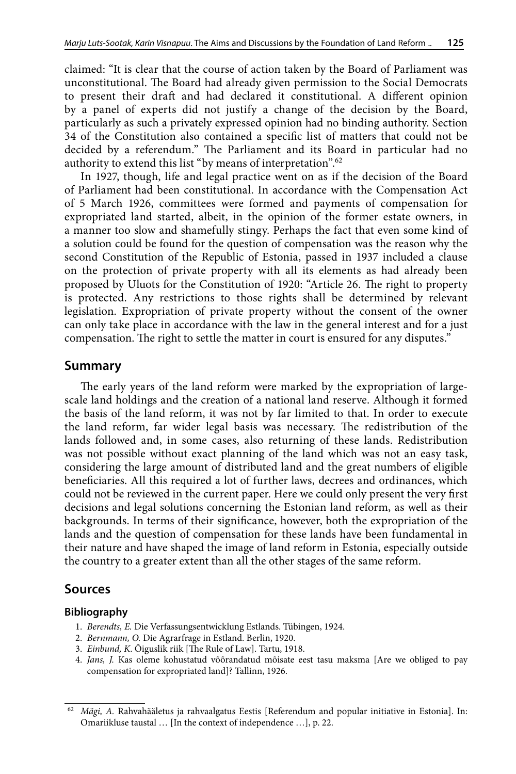claimed: "It is clear that the course of action taken by the Board of Parliament was unconstitutional. The Board had already given permission to the Social Democrats to present their draft and had declared it constitutional. A different opinion by a panel of experts did not justify a change of the decision by the Board, particularly as such a privately expressed opinion had no binding authority. Section 34 of the Constitution also contained a specific list of matters that could not be decided by a referendum." The Parliament and its Board in particular had no authority to extend this list "by means of interpretation".62

In 1927, though, life and legal practice went on as if the decision of the Board of Parliament had been constitutional. In accordance with the Compensation Act of 5 March 1926, committees were formed and payments of compensation for expropriated land started, albeit, in the opinion of the former estate owners, in a manner too slow and shamefully stingy. Perhaps the fact that even some kind of a solution could be found for the question of compensation was the reason why the second Constitution of the Republic of Estonia, passed in 1937 included a clause on the protection of private property with all its elements as had already been proposed by Uluots for the Constitution of 1920: "Article 26. The right to property is protected. Any restrictions to those rights shall be determined by relevant legislation. Expropriation of private property without the consent of the owner can only take place in accordance with the law in the general interest and for a just compensation. The right to settle the matter in court is ensured for any disputes."

### **Summary**

The early years of the land reform were marked by the expropriation of largescale land holdings and the creation of a national land reserve. Although it formed the basis of the land reform, it was not by far limited to that. In order to execute the land reform, far wider legal basis was necessary. The redistribution of the lands followed and, in some cases, also returning of these lands. Redistribution was not possible without exact planning of the land which was not an easy task, considering the large amount of distributed land and the great numbers of eligible beneficiaries. All this required a lot of further laws, decrees and ordinances, which could not be reviewed in the current paper. Here we could only present the very first decisions and legal solutions concerning the Estonian land reform, as well as their backgrounds. In terms of their significance, however, both the expropriation of the lands and the question of compensation for these lands have been fundamental in their nature and have shaped the image of land reform in Estonia, especially outside the country to a greater extent than all the other stages of the same reform.

### **Sources**

#### **Bibliography**

- 1. *Berendts, E.* Die Verfassungsentwicklung Estlands. Tübingen, 1924.
- 2. *Bernmann, O.* Die Agrarfrage in Estland. Berlin, 1920.
- 3. *Einbund, K*. Õiguslik riik [The Rule of Law]. Tartu, 1918.
- 4. *Jans, J.* Kas oleme kohustatud võõrandatud mõisate eest tasu maksma [Are we obliged to pay compensation for expropriated land]? Tallinn, 1926.

<sup>62</sup> *Mägi, A.* Rahvahääletus ja rahvaalgatus Eestis [Referendum and popular initiative in Estonia]. In: Omariikluse taustal … [In the context of independence …], p. 22.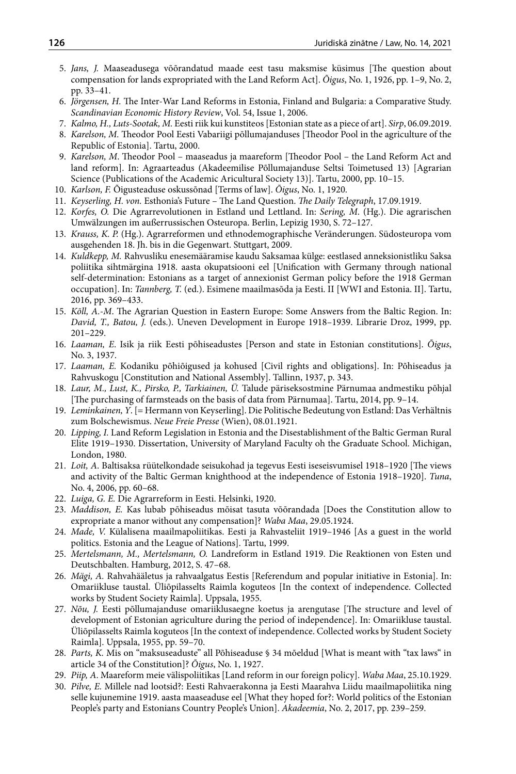- 5. *Jans, J.* Maaseadusega võõrandatud maade eest tasu maksmise küsimus [The question about compensation for lands expropriated with the Land Reform Act]. *Õigus*, No. 1, 1926, pp. 1–9, No. 2, pp. 33–41.
- 6. *Jörgensen, H.* The Inter-War Land Reforms in Estonia, Finland and Bulgaria: a Comparative Study. *Scandinavian Economic History Review*, Vol. 54, Issue 1, 2006.
- 7. *Kalmo, H., Luts-Sootak, M.* Eesti riik kui kunstiteos [Estonian state as a piece of art]. *Sirp*, 06.09.2019.
- 8. *Karelson, M.* Theodor Pool Eesti Vabariigi põllumajanduses [Theodor Pool in the agriculture of the Republic of Estonia]. Tartu, 2000.
- 9. *Karelson, M*. Theodor Pool maaseadus ja maareform [Theodor Pool the Land Reform Act and land reform]. In: Agraarteadus (Akadeemilise Põllumajanduse Seltsi Toimetused 13) [Agrarian Science (Publications of the Academic Aricultural Society 13)]. Tartu, 2000, pp. 10–15.
- 10. *Karlson, F.* Õigusteaduse oskussõnad [Terms of law]. *Õigus*, No. 1, 1920.
- 11. *Keyserling, H. von.* Esthonia's Future The Land Question. *The Daily Telegraph*, 17.09.1919.
- 12. *Korfes, O.* Die Agrarrevolutionen in Estland und Lettland. In: *Sering, M*. (Hg.). Die agrarischen Umwälzungen im außerrussischen Osteuropa. Berlin, Lepizig 1930, S. 72–127.
- 13. *Krauss, K. P.* (Hg.). Agrarreformen und ethnodemographische Veränderungen. Südosteuropa vom ausgehenden 18. Jh. bis in die Gegenwart. Stuttgart, 2009.
- 14. *Kuldkepp, M.* Rahvusliku enesemääramise kaudu Saksamaa külge: eestlased anneksionistliku Saksa poliitika sihtmärgina 1918. aasta okupatsiooni eel [Unification with Germany through national self-determination: Estonians as a target of annexionist German policy before the 1918 German occupation]. In: *Tannberg, T.* (ed.). Esimene maailmasõda ja Eesti. II [WWI and Estonia. II]. Tartu, 2016, pp. 369–433.
- 15. *Kõll, A.-M*. The Agrarian Question in Eastern Europe: Some Answers from the Baltic Region. In: *David, T., Batou, J.* (eds.). Uneven Development in Europe 1918–1939. Librarie Droz, 1999, pp. 201–229.
- 16. *Laaman, E*. Isik ja riik Eesti põhiseadustes [Person and state in Estonian constitutions]. *Õigus*, No. 3, 1937.
- 17. *Laaman, E.* Kodaniku põhiõigused ja kohused [Civil rights and obligations]. In: Põhiseadus ja Rahvuskogu [Constitution and National Assembly]. Tallinn, 1937, p. 343.
- 18. *Laur, M., Lust, K., Pirsko, P., Tarkiainen, Ü.* Talude päriseksostmine Pärnumaa andmestiku põhjal [The purchasing of farmsteads on the basis of data from Pärnumaa]. Tartu, 2014, pp. 9–14.
- 19. *Leminkainen, Y*. [= Hermann von Keyserling]. Die Politische Bedeutung von Estland: Das Verhältnis zum Bolschewismus. *Neue Freie Presse* (Wien), 08.01.1921.
- 20. *Lipping, I.* Land Reform Legislation in Estonia and the Disestablishment of the Baltic German Rural Elite 1919–1930. Dissertation, University of Maryland Faculty oh the Graduate School. Michigan, London, 1980.
- 21. *Loit, A*. Baltisaksa rüütelkondade seisukohad ja tegevus Eesti iseseisvumisel 1918–1920 [The views and activity of the Baltic German knighthood at the independence of Estonia 1918–1920]. *Tuna*, No. 4, 2006, pp. 60–68.
- 22. *Luiga, G. E.* Die Agrarreform in Eesti. Helsinki, 1920.
- 23. *Maddison, E.* Kas lubab põhiseadus mõisat tasuta võõrandada [Does the Constitution allow to expropriate a manor without any compensation]? *Waba Maa*, 29.05.1924.
- 24. *Made, V.* Külalisena maailmapoliitikas. Eesti ja Rahvasteliit 1919–1946 [As a guest in the world politics. Estonia and the League of Nations]. Tartu, 1999.
- 25. *Mertelsmann, M., Mertelsmann, O.* Landreform in Estland 1919. Die Reaktionen von Esten und Deutschbalten. Hamburg, 2012, S. 47–68.
- 26. *Mägi, A.* Rahvahääletus ja rahvaalgatus Eestis [Referendum and popular initiative in Estonia]. In: Omariikluse taustal. Üliõpilasselts Raimla koguteos [In the context of independence. Collected works by Student Society Raimla]. Uppsala, 1955.
- 27. *Nõu, J.* Eesti põllumajanduse omariiklusaegne koetus ja arengutase [The structure and level of development of Estonian agriculture during the period of independence]. In: Omariikluse taustal. Üliõpilasselts Raimla koguteos [In the context of independence. Collected works by Student Society Raimla]. Uppsala, 1955, pp. 59–70.
- 28. *Parts, K.* Mis on "maksuseaduste" all Põhiseaduse § 34 mõeldud [What is meant with "tax laws" in article 34 of the Constitution]? *Õigus*, No. 1, 1927.
- 29. *Piip, A*. Maareform meie välispoliitikas [Land reform in our foreign policy]. *Waba Maa*, 25.10.1929.
- 30. *Pilve, E.* Millele nad lootsid?: Eesti Rahvaerakonna ja Eesti Maarahva Liidu maailmapoliitika ning selle kujunemine 1919. aasta maaseaduse eel [What they hoped for?: World politics of the Estonian People's party and Estonians Country People's Union]. *Akadeemia*, No. 2, 2017, pp. 239–259.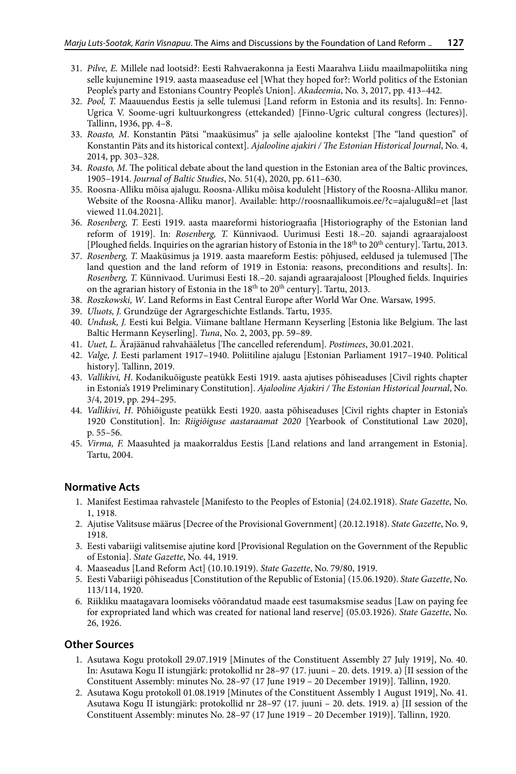- 31. *Pilve, E.* Millele nad lootsid?: Eesti Rahvaerakonna ja Eesti Maarahva Liidu maailmapoliitika ning selle kujunemine 1919. aasta maaseaduse eel [What they hoped for?: World politics of the Estonian People's party and Estonians Country People's Union]. *Akadeemia*, No. 3, 2017, pp. 413–442.
- 32. *Pool, T.* Maauuendus Eestis ja selle tulemusi [Land reform in Estonia and its results]. In: Fenno-Ugrica V. Soome-ugri kultuurkongress (ettekanded) [Finno-Ugric cultural congress (lectures)]. Tallinn, 1936, pp. 4–8.
- 33. *Roasto, M*. Konstantin Pätsi "maaküsimus" ja selle ajalooline kontekst [The "land question" of Konstantin Päts and its historical context]. *Ajalooline ajakiri / The Estonian Historical Journal*, No. 4, 2014, pp. 303–328.
- 34. *Roasto, M*. The political debate about the land question in the Estonian area of the Baltic provinces, 1905–1914. *Journal of Baltic Studies*, No. 51(4), 2020, pp. 611–630.
- 35. Roosna-Alliku mõisa ajalugu. Roosna-Alliku mõisa koduleht [History of the Roosna-Alliku manor. Website of the Roosna-Alliku manor]. Available: <http://roosnaallikumois.ee/?c=ajalugu&l=et> [last viewed 11.04.2021].
- 36. *Rosenberg, T.* Eesti 1919. aasta maareformi historiograafia [Historiography of the Estonian land reform of 1919]. In: *Rosenberg, T.* Künnivaod. Uurimusi Eesti 18.–20. sajandi agraarajaloost [Ploughed fields. Inquiries on the agrarian history of Estonia in the  $18<sup>th</sup>$  to  $20<sup>th</sup>$  century]. Tartu, 2013.
- 37. *Rosenberg, T.* Maaküsimus ja 1919. aasta maareform Eestis: põhjused, eeldused ja tulemused [The land question and the land reform of 1919 in Estonia: reasons, preconditions and results]. In: *Rosenberg, T.* Künnivaod. Uurimusi Eesti 18.–20. sajandi agraarajaloost [Ploughed fields. Inquiries on the agrarian history of Estonia in the  $18<sup>th</sup>$  to  $20<sup>th</sup>$  century]. Tartu, 2013.
- 38. *Roszkowski, W*. Land Reforms in East Central Europe after World War One. Warsaw, 1995.
- 39. *Uluots, J.* Grundzüge der Agrargeschichte Estlands. Tartu, 1935.
- 40. *Undusk, J.* Eesti kui Belgia. Viimane baltlane Hermann Keyserling [Estonia like Belgium. The last Baltic Hermann Keyserling]. *Tuna*, No. 2, 2003, pp. 59–89.
- 41. *Uuet, L.* Ärajäänud rahvahääletus [The cancelled referendum]. *Postimees*, 30.01.2021.
- 42. *Valge, J.* Eesti parlament 1917–1940. Poliitiline ajalugu [Estonian Parliament 1917–1940. Political history]. Tallinn, 2019.
- 43. *Vallikivi, H*. Kodanikuõiguste peatükk Eesti 1919. aasta ajutises põhiseaduses [Civil rights chapter in Estonia's 1919 Preliminary Constitution]. *Ajalooline Ajakiri / The Estonian Historical Journal*, No. 3/4, 2019, pp. 294–295.
- 44. *Vallikivi, H.* Põhiõiguste peatükk Eesti 1920. aasta põhiseaduses [Civil rights chapter in Estonia's 1920 Constitution]. In: *Riigiõiguse aastaraamat 2020* [Yearbook of Constitutional Law 2020], p. 55–56.
- 45. *Virma, F.* Maasuhted ja maakorraldus Eestis [Land relations and land arrangement in Estonia]. Tartu, 2004.

#### **Normative Acts**

- 1. Manifest Eestimaa rahvastele [Manifesto to the Peoples of Estonia] (24.02.1918). *State Gazette*, No. 1, 1918.
- 2. Ajutise Valitsuse määrus [Decree of the Provisional Government] (20.12.1918). *State Gazette*, No. 9, 1918.
- 3. Eesti vabariigi valitsemise ajutine kord [Provisional Regulation on the Government of the Republic of Estonia]. *State Gazette*, No. 44, 1919.
- 4. Maaseadus [Land Reform Act] (10.10.1919). *State Gazette*, No. 79/80, 1919.
- 5. Eesti Vabariigi põhiseadus [Constitution of the Republic of Estonia] (15.06.1920). *State Gazette*, No. 113/114, 1920.
- 6. Riikliku maatagavara loomiseks võõrandatud maade eest tasumaksmise seadus [Law on paying fee for expropriated land which was created for national land reserve] (05.03.1926). *State Gazette*, No. 26, 1926.

#### **Other Sources**

- 1. Asutawa Kogu protokoll 29.07.1919 [Minutes of the Constituent Assembly 27 July 1919], No. 40. In: Asutawa Kogu II istungjärk: protokollid nr 28–97 (17. juuni – 20. dets. 1919. a) [II session of the Constituent Assembly: minutes No. 28–97 (17 June 1919 – 20 December 1919)]. Tallinn, 1920.
- 2. Asutawa Kogu protokoll 01.08.1919 [Minutes of the Constituent Assembly 1 August 1919], No. 41. Asutawa Kogu II istungjärk: protokollid nr 28–97 (17. juuni – 20. dets. 1919. a) [II session of the Constituent Assembly: minutes No. 28–97 (17 June 1919 – 20 December 1919)]. Tallinn, 1920.